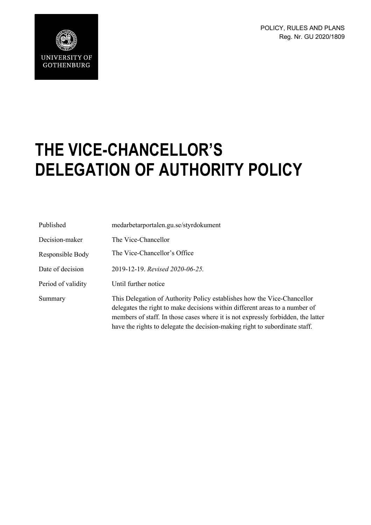POLICY, RULES AND PLANS Reg. Nr. GU 2020/1809



# **THE VICE-CHANCELLOR'S DELEGATION OF AUTHORITY POLICY**

| Published          | medarbetarportalen.gu.se/styrdokument                                                                                                                                                                                                                                                                                     |
|--------------------|---------------------------------------------------------------------------------------------------------------------------------------------------------------------------------------------------------------------------------------------------------------------------------------------------------------------------|
| Decision-maker     | The Vice-Chancellor                                                                                                                                                                                                                                                                                                       |
| Responsible Body   | The Vice-Chancellor's Office                                                                                                                                                                                                                                                                                              |
| Date of decision   | 2019-12-19. Revised 2020-06-25.                                                                                                                                                                                                                                                                                           |
| Period of validity | Until further notice                                                                                                                                                                                                                                                                                                      |
| Summary            | This Delegation of Authority Policy establishes how the Vice-Chancellor<br>delegates the right to make decisions within different areas to a number of<br>members of staff. In those cases where it is not expressly forbidden, the latter<br>have the rights to delegate the decision-making right to subordinate staff. |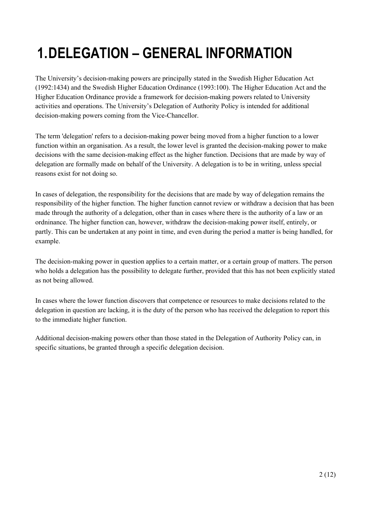## **1.DELEGATION – GENERAL INFORMATION**

The University's decision-making powers are principally stated in the Swedish Higher Education Act (1992:1434) and the Swedish Higher Education Ordinance (1993:100). The Higher Education Act and the Higher Education Ordinance provide a framework for decision-making powers related to University activities and operations. The University's Delegation of Authority Policy is intended for additional decision-making powers coming from the Vice-Chancellor.

The term 'delegation' refers to a decision-making power being moved from a higher function to a lower function within an organisation. As a result, the lower level is granted the decision-making power to make decisions with the same decision-making effect as the higher function. Decisions that are made by way of delegation are formally made on behalf of the University. A delegation is to be in writing, unless special reasons exist for not doing so.

In cases of delegation, the responsibility for the decisions that are made by way of delegation remains the responsibility of the higher function. The higher function cannot review or withdraw a decision that has been made through the authority of a delegation, other than in cases where there is the authority of a law or an ordninance. The higher function can, however, withdraw the decision-making power itself, entirely, or partly. This can be undertaken at any point in time, and even during the period a matter is being handled, for example.

The decision-making power in question applies to a certain matter, or a certain group of matters. The person who holds a delegation has the possibility to delegate further, provided that this has not been explicitly stated as not being allowed.

In cases where the lower function discovers that competence or resources to make decisions related to the delegation in question are lacking, it is the duty of the person who has received the delegation to report this to the immediate higher function.

Additional decision-making powers other than those stated in the Delegation of Authority Policy can, in specific situations, be granted through a specific delegation decision.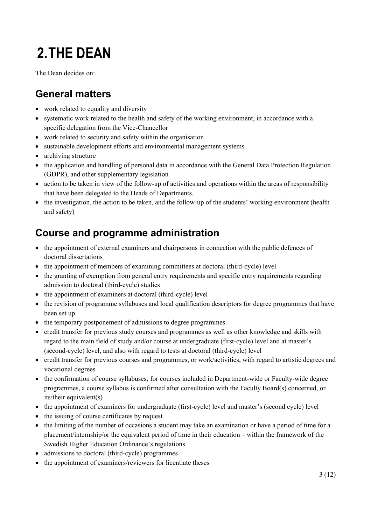## **2.THE DEAN**

The Dean decides on:

#### **General matters**

- work related to equality and diversity
- systematic work related to the health and safety of the working environment, in accordance with a specific delegation from the Vice-Chancellor
- work related to security and safety within the organisation
- sustainable development efforts and environmental management systems
- archiving structure
- the application and handling of personal data in accordance with the General Data Protection Regulation (GDPR), and other supplementary legislation
- action to be taken in view of the follow-up of activities and operations within the areas of responsibility that have been delegated to the Heads of Departments.
- the investigation, the action to be taken, and the follow-up of the students' working environment (health and safety)

#### **Course and programme administration**

- the appointment of external examiners and chairpersons in connection with the public defences of doctoral dissertations
- the appointment of members of examining committees at doctoral (third-cycle) level
- the granting of exemption from general entry requirements and specific entry requirements regarding admission to doctoral (third-cycle) studies
- the appointment of examiners at doctoral (third-cycle) level
- the revision of programme syllabuses and local qualification descriptors for degree programmes that have been set up
- the temporary postponement of admissions to degree programmes
- credit transfer for previous study courses and programmes as well as other knowledge and skills with regard to the main field of study and/or course at undergraduate (first-cycle) level and at master's (second-cycle) level, and also with regard to tests at doctoral (third-cycle) level
- credit transfer for previous courses and programmes, or work/activities, with regard to artistic degrees and vocational degrees
- the confirmation of course syllabuses; for courses included in Department-wide or Faculty-wide degree programmes, a course syllabus is confirmed after consultation with the Faculty Board(s) concerned, or its/their equivalent(s)
- the appointment of examiners for undergraduate (first-cycle) level and master's (second cycle) level
- the issuing of course certificates by request
- the limiting of the number of occasions a student may take an examination or have a period of time for a placement/internship/or the equivalent period of time in their education – within the framework of the Swedish Higher Education Ordinance's regulations
- admissions to doctoral (third-cycle) programmes
- the appointment of examiners/reviewers for licentiate theses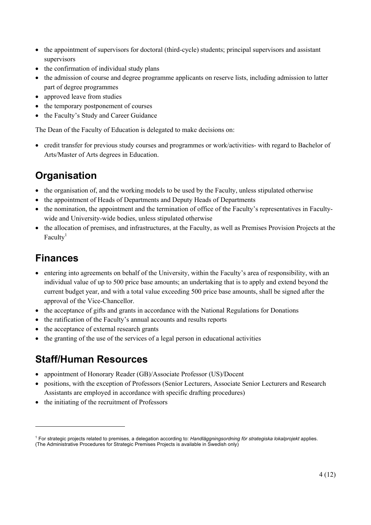- the appointment of supervisors for doctoral (third-cycle) students; principal supervisors and assistant supervisors
- the confirmation of individual study plans
- the admission of course and degree programme applicants on reserve lists, including admission to latter part of degree programmes
- approved leave from studies
- the temporary postponement of courses
- the Faculty's Study and Career Guidance

The Dean of the Faculty of Education is delegated to make decisions on:

• credit transfer for previous study courses and programmes or work/activities- with regard to Bachelor of Arts/Master of Arts degrees in Education.

## **Organisation**

- the organisation of, and the working models to be used by the Faculty, unless stipulated otherwise
- the appointment of Heads of Departments and Deputy Heads of Departments
- the nomination, the appointment and the termination of office of the Faculty's representatives in Facultywide and University-wide bodies, unless stipulated otherwise
- the allocation of premises, and infrastructures, at the Faculty, as well as Premises Provision Projects at the  $Facultv<sup>1</sup>$

#### **Finances**

- entering into agreements on behalf of the University, within the Faculty's area of responsibility, with an individual value of up to 500 price base amounts; an undertaking that is to apply and extend beyond the current budget year, and with a total value exceeding 500 price base amounts, shall be signed after the approval of the Vice-Chancellor.
- the acceptance of gifts and grants in accordance with the National Regulations for Donations
- the ratification of the Faculty's annual accounts and results reports
- the acceptance of external research grants
- the granting of the use of the services of a legal person in educational activities

#### **Staff/Human Resources**

- appointment of Honorary Reader (GB)/Associate Professor (US)/Docent
- positions, with the exception of Professors (Senior Lecturers, Associate Senior Lecturers and Research Assistants are employed in accordance with specific drafting procedures)
- the initiating of the recruitment of Professors

<sup>1</sup> For strategic projects related to premises, a delegation according to: *Handläggningsordning för strategiska lokalprojekt* applies. (The Administrative Procedures for Strategic Premises Projects is available in Swedish only)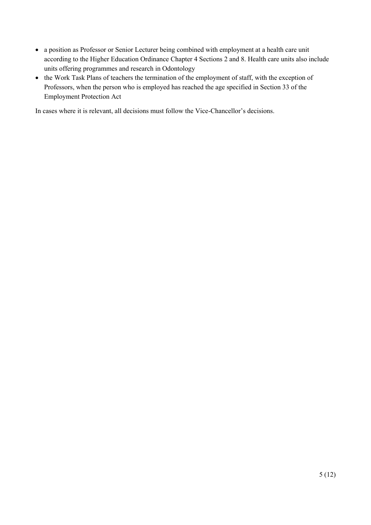- a position as Professor or Senior Lecturer being combined with employment at a health care unit according to the Higher Education Ordinance Chapter 4 Sections 2 and 8. Health care units also include units offering programmes and research in Odontology
- the Work Task Plans of teachers the termination of the employment of staff, with the exception of Professors, when the person who is employed has reached the age specified in Section 33 of the Employment Protection Act

In cases where it is relevant, all decisions must follow the Vice-Chancellor's decisions.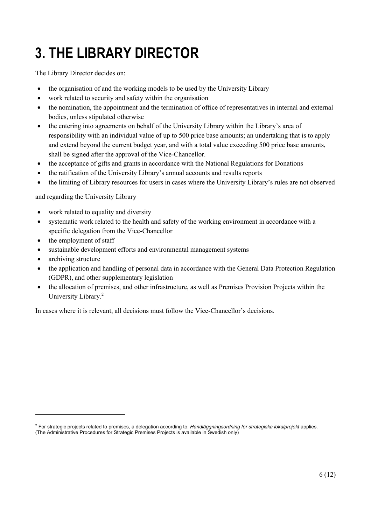# **3. THE LIBRARY DIRECTOR**

The Library Director decides on:

- the organisation of and the working models to be used by the University Library
- work related to security and safety within the organisation
- the nomination, the appointment and the termination of office of representatives in internal and external bodies, unless stipulated otherwise
- the entering into agreements on behalf of the University Library within the Library's area of responsibility with an individual value of up to 500 price base amounts; an undertaking that is to apply and extend beyond the current budget year, and with a total value exceeding 500 price base amounts, shall be signed after the approval of the Vice-Chancellor.
- the acceptance of gifts and grants in accordance with the National Regulations for Donations
- the ratification of the University Library's annual accounts and results reports
- the limiting of Library resources for users in cases where the University Library's rules are not observed

and regarding the University Library

- work related to equality and diversity
- systematic work related to the health and safety of the working environment in accordance with a specific delegation from the Vice-Chancellor
- the employment of staff
- sustainable development efforts and environmental management systems
- archiving structure
- the application and handling of personal data in accordance with the General Data Protection Regulation (GDPR), and other supplementary legislation
- the allocation of premises, and other infrastructure, as well as Premises Provision Projects within the University Library.<sup>2</sup>

In cases where it is relevant, all decisions must follow the Vice-Chancellor's decisions.

<sup>2</sup> For strategic projects related to premises, a delegation according to: *Handläggningsordning för strategiska lokalprojekt* applies. (The Administrative Procedures for Strategic Premises Projects is available in Swedish only)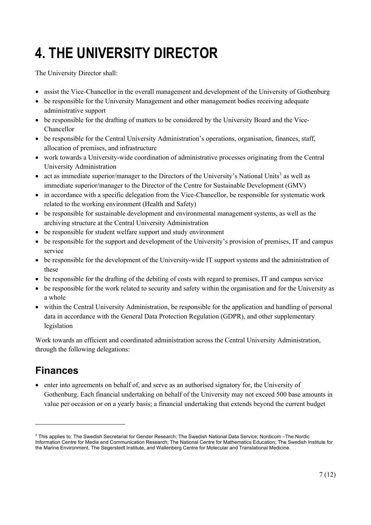# **4. THE UNIVERSITY DIRECTOR**

The University Director shall:

- assist the Vice-Chancellor in the overall management and development of the University of Gothenburg
- be responsible for the University Management and other management bodies receiving adequate administrative support
- be responsible for the drafting of matters to be considered by the University Board and the Vice-Chancellor
- be responsible for the Central University Administration's operations, organisation, finances, staff, allocation of premises, and infrastructure
- work towards a University-wide coordination of administrative processes originating from the Central University Administration
- act as immediate superior/manager to the Directors of the University's National Units<sup>3</sup> as well as immediate superior/manager to the Director of the Centre for Sustainable Development (GMV)
- in accordance with a specific delegation from the Vice-Chancellor, be responsible for systematic work related to the working environment (Health and Safety)
- be responsible for sustainable development and environmental management systems, as well as the archiving structure at the Central University Administration
- be responsible for student welfare support and study environment
- be responsible for the support and development of the University's provision of premises, IT and campus service
- be responsible for the development of the University-wide IT support systems and the administration of these
- be responsible for the drafting of the debiting of costs with regard to premises, IT and campus service
- be responsible for the work related to security and safety within the organisation and for the University as a whole
- within the Central University Administration, be responsible for the application and handling of personal data in accordance with the General Data Protection Regulation (GDPR), and other supplementary legislation

Work towards an efficient and coordinated administration across the Central University Administration, through the following delegations:

#### **Finances**

• enter into agreements on behalf of, and serve as an authorised signatory for, the University of Gothenburg. Each financial undertaking on behalf of the University may not exceed 500 base amounts in value per occasion or on a yearly basis; a financial undertaking that extends beyond the current budget

<sup>3</sup> This applies to: The Swedish Secretariat for Gender Research; The Swedish National Data Service; Nordicom –The Nordic Information Centre for Media and Communication Research; The National Centre for Mathematics Education; The Swedish Institute for the Marine Environment, The Segerstedt Institute, and Wallenberg Centre for Molecular and Translational Medicine.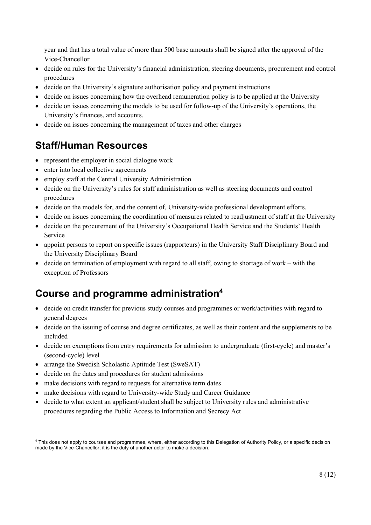year and that has a total value of more than 500 base amounts shall be signed after the approval of the Vice-Chancellor

- decide on rules for the University's financial administration, steering documents, procurement and control procedures
- decide on the University's signature authorisation policy and payment instructions
- decide on issues concerning how the overhead remuneration policy is to be applied at the University
- decide on issues concerning the models to be used for follow-up of the University's operations, the University's finances, and accounts.
- decide on issues concerning the management of taxes and other charges

#### **Staff/Human Resources**

- represent the employer in social dialogue work
- enter into local collective agreements
- employ staff at the Central University Administration
- decide on the University's rules for staff administration as well as steering documents and control procedures
- decide on the models for, and the content of, University-wide professional development efforts.
- decide on issues concerning the coordination of measures related to readjustment of staff at the University
- decide on the procurement of the University's Occupational Health Service and the Students' Health Service
- appoint persons to report on specific issues (rapporteurs) in the University Staff Disciplinary Board and the University Disciplinary Board
- decide on termination of employment with regard to all staff, owing to shortage of work with the exception of Professors

#### **Course and programme administration4**

- decide on credit transfer for previous study courses and programmes or work/activities with regard to general degrees
- decide on the issuing of course and degree certificates, as well as their content and the supplements to be included
- decide on exemptions from entry requirements for admission to undergraduate (first-cycle) and master's (second-cycle) level
- arrange the Swedish Scholastic Aptitude Test (SweSAT)
- decide on the dates and procedures for student admissions
- make decisions with regard to requests for alternative term dates
- make decisions with regard to University-wide Study and Career Guidance
- decide to what extent an applicant/student shall be subject to University rules and administrative procedures regarding the Public Access to Information and Secrecy Act

<sup>4</sup> This does not apply to courses and programmes, where, either according to this Delegation of Authority Policy, or a specific decision made by the Vice-Chancellor, it is the duty of another actor to make a decision.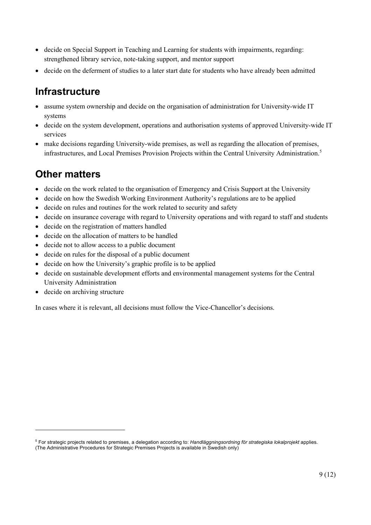- decide on Special Support in Teaching and Learning for students with impairments, regarding: strengthened library service, note-taking support, and mentor support
- decide on the deferment of studies to a later start date for students who have already been admitted

#### **Infrastructure**

- assume system ownership and decide on the organisation of administration for University-wide IT systems
- decide on the system development, operations and authorisation systems of approved University-wide IT services
- make decisions regarding University-wide premises, as well as regarding the allocation of premises, infrastructures, and Local Premises Provision Projects within the Central University Administration. 5

### **Other matters**

- decide on the work related to the organisation of Emergency and Crisis Support at the University
- decide on how the Swedish Working Environment Authority's regulations are to be applied
- decide on rules and routines for the work related to security and safety
- decide on insurance coverage with regard to University operations and with regard to staff and students
- decide on the registration of matters handled
- decide on the allocation of matters to be handled
- decide not to allow access to a public document
- decide on rules for the disposal of a public document
- decide on how the University's graphic profile is to be applied
- decide on sustainable development efforts and environmental management systems for the Central University Administration
- decide on archiving structure

In cases where it is relevant, all decisions must follow the Vice-Chancellor's decisions.

<sup>5</sup> For strategic projects related to premises, a delegation according to: *Handläggningsordning för strategiska lokalprojekt* applies. (The Administrative Procedures for Strategic Premises Projects is available in Swedish only)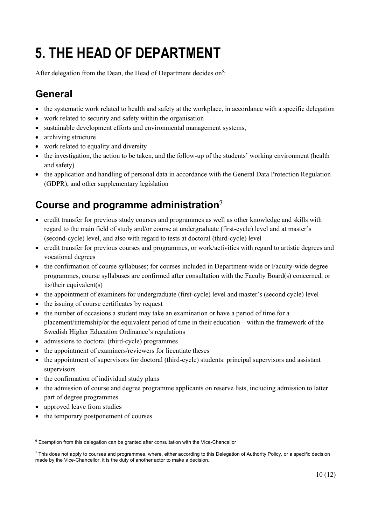## **5. THE HEAD OF DEPARTMENT**

After delegation from the Dean, the Head of Department decides on<sup>6</sup>:

#### **General**

- the systematic work related to health and safety at the workplace, in accordance with a specific delegation
- work related to security and safety within the organisation
- sustainable development efforts and environmental management systems,
- archiving structure
- work related to equality and diversity
- the investigation, the action to be taken, and the follow-up of the students' working environment (health and safety)
- the application and handling of personal data in accordance with the General Data Protection Regulation (GDPR), and other supplementary legislation

## **Course and programme administration<sup>7</sup>**

- credit transfer for previous study courses and programmes as well as other knowledge and skills with regard to the main field of study and/or course at undergraduate (first-cycle) level and at master's (second-cycle) level, and also with regard to tests at doctoral (third-cycle) level
- credit transfer for previous courses and programmes, or work/activities with regard to artistic degrees and vocational degrees
- the confirmation of course syllabuses; for courses included in Department-wide or Faculty-wide degree programmes, course syllabuses are confirmed after consultation with the Faculty Board(s) concerned, or its/their equivalent(s)
- the appointment of examiners for undergraduate (first-cycle) level and master's (second cycle) level
- the issuing of course certificates by request
- the number of occasions a student may take an examination or have a period of time for a placement/internship/or the equivalent period of time in their education – within the framework of the Swedish Higher Education Ordinance's regulations
- admissions to doctoral (third-cycle) programmes
- the appointment of examiners/reviewers for licentiate theses
- the appointment of supervisors for doctoral (third-cycle) students: principal supervisors and assistant supervisors
- the confirmation of individual study plans
- the admission of course and degree programme applicants on reserve lists, including admission to latter part of degree programmes
- approved leave from studies
- the temporary postponement of courses

<sup>&</sup>lt;sup>6</sup> Exemption from this delegation can be granted after consultation with the Vice-Chancellor

 $^7$  This does not apply to courses and programmes, where, either according to this Delegation of Authority Policy, or a specific decision made by the Vice-Chancellor, it is the duty of another actor to make a decision.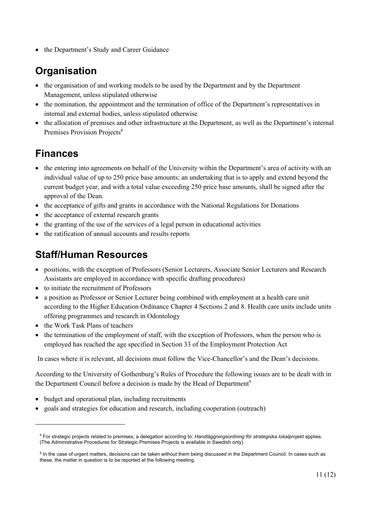• the Department's Study and Career Guidance

## **Organisation**

- the organisation of and working models to be used by the Department and by the Department Management, unless stipulated otherwise
- the nomination, the appointment and the termination of office of the Department's representatives in internal and external bodies, unless stipulated otherwise
- the allocation of premises and other infrastructure at the Department, as well as the Department's internal Premises Provision Projects<sup>8</sup>

#### **Finances**

- the entering into agreements on behalf of the University within the Department's area of activity with an individual value of up to 250 price base amounts; an undertaking that is to apply and extend beyond the current budget year, and with a total value exceeding 250 price base amounts, shall be signed after the approval of the Dean.
- the acceptance of gifts and grants in accordance with the National Regulations for Donations
- the acceptance of external research grants
- the granting of the use of the services of a legal person in educational activities
- the ratification of annual accounts and results reports

#### **Staff/Human Resources**

- positions, with the exception of Professors (Senior Lecturers, Associate Senior Lecturers and Research Assistants are employed in accordance with specific drafting procedures)
- to initiate the recruitment of Professors
- a position as Professor or Senior Lecturer being combined with employment at a health care unit according to the Higher Education Ordinance Chapter 4 Sections 2 and 8. Health care units include units offering programmes and research in Odontology
- the Work Task Plans of teachers
- the termination of the employment of staff, with the exception of Professors, when the person who is employed has reached the age specified in Section 33 of the Employment Protection Act

In cases where it is relevant, all decisions must follow the Vice-Chancellor's and the Dean's decisions.

According to the University of Gothenburg's Rules of Procedure the following issues are to be dealt with in the Department Council before a decision is made by the Head of Department<sup>9</sup>

- budget and operational plan, including recruitments
- goals and strategies for education and research, including cooperation (outreach)

<sup>8</sup> For strategic projects related to premises, a delegation according to: *Handläggningsordning för strategiska lokalprojekt* applies. (The Administrative Procedures for Strategic Premises Projects is available in Swedish only)

<sup>&</sup>lt;sup>9</sup> In the case of urgent matters, decisions can be taken without them being discussed in the Department Council. In cases such as these, the matter in question is to be reported at the following meeting.